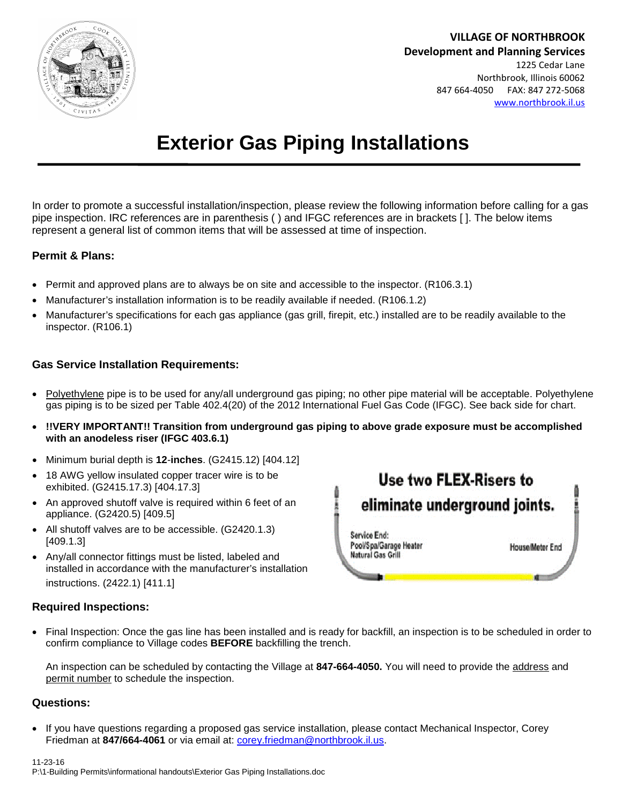

**VILLAGE OF NORTHBROOK Development and Planning Services** 1225 Cedar Lane Northbrook, Illinois 60062 847 664-4050 FAX: 847 272-5068 [www.northbrook.il.us](http://www.northbrook.il.us/)

# **Exterior Gas Piping Installations**

In order to promote a successful installation/inspection, please review the following information before calling for a gas pipe inspection. IRC references are in parenthesis ( ) and IFGC references are in brackets [ ]. The below items represent a general list of common items that will be assessed at time of inspection.

### **Permit & Plans:**

- Permit and approved plans are to always be on site and accessible to the inspector. (R106.3.1)
- Manufacturer's installation information is to be readily available if needed. (R106.1.2)
- Manufacturer's specifications for each gas appliance (gas grill, firepit, etc.) installed are to be readily available to the inspector. (R106.1)

### **Gas Service Installation Requirements:**

- Polyethylene pipe is to be used for any/all underground gas piping; no other pipe material will be acceptable. Polyethylene gas piping is to be sized per Table 402.4(20) of the 2012 International Fuel Gas Code (IFGC). See back side for chart.
- **!!VERY IMPORTANT!! Transition from underground gas piping to above grade exposure must be accomplished with an anodeless riser (IFGC 403.6.1)**
- Minimum burial depth is **12**-**inches**. (G2415.12) [404.12]
- 18 AWG yellow insulated copper tracer wire is to be exhibited. (G2415.17.3) [404.17.3]
- An approved shutoff valve is required within 6 feet of an appliance. (G2420.5) [409.5]
- All shutoff valves are to be accessible. (G2420.1.3) [409.1.3]
- Any/all connector fittings must be listed, labeled and installed in accordance with the manufacturer's installation instructions. (2422.1) [411.1]

## **Required Inspections:**

 Final Inspection: Once the gas line has been installed and is ready for backfill, an inspection is to be scheduled in order to confirm compliance to Village codes **BEFORE** backfilling the trench.

An inspection can be scheduled by contacting the Village at **847-664-4050.** You will need to provide the address and permit number to schedule the inspection.

#### **Questions:**

 If you have questions regarding a proposed gas service installation, please contact Mechanical Inspector, Corey Friedman at **847/664-4061** or via email at: [corey.friedman@northbrook.il.us](mailto:friedman@northbrook.il.us).